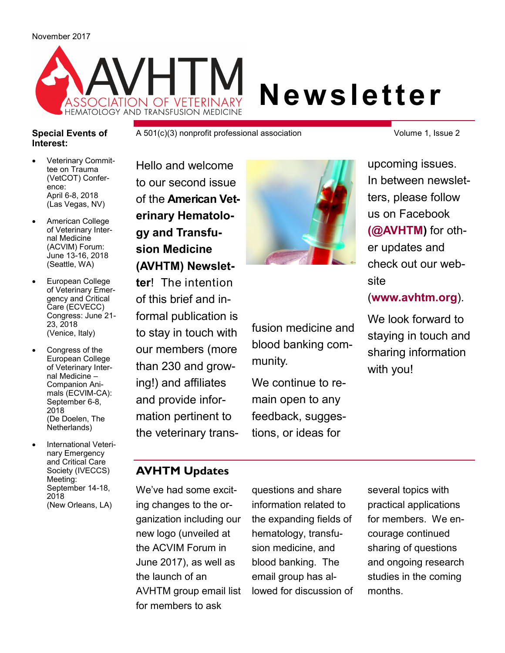

### **Special Events of Interest:**

A 501(c)(3) nonprofit professional association

 Veterinary Committee on Trauma (VetCOT) Conference: April 6-8, 2018 (Las Vegas, NV)

- American College of Veterinary Internal Medicine (ACVIM) Forum: June 13-16, 2018 (Seattle, WA)
- European College of Veterinary Emergency and Critical Care (ECVECC) Congress: June 21- 23, 2018 (Venice, Italy)
- Congress of the European College of Veterinary Internal Medicine – Companion Animals (ECVIM-CA): September 6-8, 2018 (De Doelen, The Netherlands)
- International Veterinary Emergency and Critical Care Society (IVECCS) Meeting: September 14-18, 2018 (New Orleans, LA)

Hello and welcome to our second issue of the **American Veterinary Hematology and Transfusion Medicine (AVHTM) Newsletter**! The intention of this brief and informal publication is to stay in touch with our members (more than 230 and growing!) and affiliates and provide information pertinent to the veterinary trans-



fusion medicine and blood banking community.

We continue to remain open to any feedback, suggestions, or ideas for

Volume 1, Issue 2

upcoming issues. In between newsletters, please follow us on Facebook **[\(@AVHTM\)](https://www.facebook.com/AVHTM/)** for other updates and check out our website

(**[www.avhtm.org](http://www.avhtm.org/)**).

We look forward to staying in touch and sharing information with you!

## **AVHTM Updates**

We've had some exciting changes to the organization including our new logo (unveiled at the ACVIM Forum in June 2017), as well as the launch of an AVHTM group email list for members to ask

questions and share information related to the expanding fields of hematology, transfusion medicine, and blood banking. The email group has allowed for discussion of several topics with practical applications for members. We encourage continued sharing of questions and ongoing research studies in the coming months.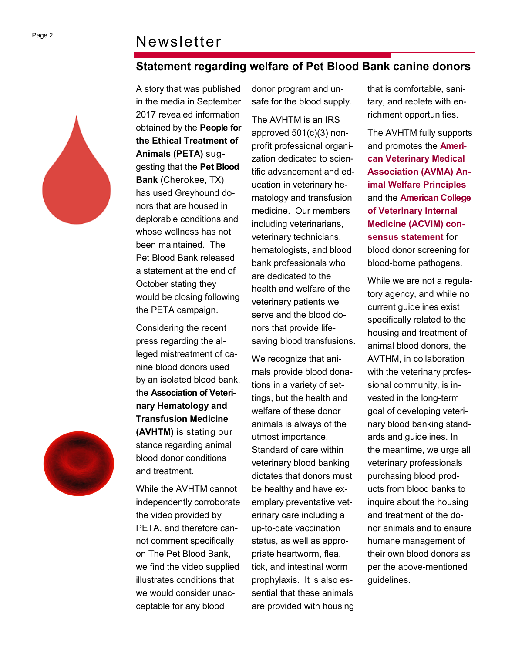# Newsletter

# **Statement regarding welfare of Pet Blood Bank canine donors**



A story that was published in the media in September 2017 revealed information obtained by the **People for the Ethical Treatment of Animals (PETA)** suggesting that the **Pet Blood Bank** (Cherokee, TX) has used Greyhound donors that are housed in deplorable conditions and whose wellness has not been maintained. The Pet Blood Bank released a statement at the end of October stating they would be closing following the PETA campaign.

Considering the recent press regarding the alleged mistreatment of canine blood donors used by an isolated blood bank, the **Association of Veterinary Hematology and Transfusion Medicine (AVHTM)** is stating our stance regarding animal blood donor conditions and treatment.

While the AVHTM cannot independently corroborate the video provided by PETA, and therefore cannot comment specifically on The Pet Blood Bank, we find the video supplied illustrates conditions that we would consider unacceptable for any blood

donor program and unsafe for the blood supply.

The AVHTM is an IRS approved 501(c)(3) nonprofit professional organization dedicated to scientific advancement and education in veterinary hematology and transfusion medicine. Our members including veterinarians, veterinary technicians, hematologists, and blood bank professionals who are dedicated to the health and welfare of the veterinary patients we serve and the blood donors that provide lifesaving blood transfusions.

We recognize that animals provide blood donations in a variety of settings, but the health and welfare of these donor animals is always of the utmost importance. Standard of care within veterinary blood banking dictates that donors must be healthy and have exemplary preventative veterinary care including a up-to-date vaccination status, as well as appropriate heartworm, flea, tick, and intestinal worm prophylaxis. It is also essential that these animals are provided with housing that is comfortable, sanitary, and replete with enrichment opportunities.

The AVHTM fully supports and promotes the **[Ameri](https://www.avma.org/KB/Policies/Pages/AVMA-Animal-Welfare-Principles.aspx)[can Veterinary Medical](https://www.avma.org/KB/Policies/Pages/AVMA-Animal-Welfare-Principles.aspx)  [Association \(AVMA\) An](https://www.avma.org/KB/Policies/Pages/AVMA-Animal-Welfare-Principles.aspx)imal Welfare [Principles](https://www.avma.org/KB/Policies/Pages/AVMA-Animal-Welfare-Principles.aspx)** and the **[American College](http://onlinelibrary.wiley.com/doi/10.1111/jvim.13823/pdf)  [of Veterinary Internal](http://onlinelibrary.wiley.com/doi/10.1111/jvim.13823/pdf)  [Medicine \(ACVIM\) con](http://onlinelibrary.wiley.com/doi/10.1111/jvim.13823/pdf)[sensus statement](http://onlinelibrary.wiley.com/doi/10.1111/jvim.13823/pdf)** for blood donor screening for blood-borne pathogens.

While we are not a regulatory agency, and while no current guidelines exist specifically related to the housing and treatment of animal blood donors, the AVTHM, in collaboration with the veterinary professional community, is invested in the long-term goal of developing veterinary blood banking standards and guidelines. In the meantime, we urge all veterinary professionals purchasing blood products from blood banks to inquire about the housing and treatment of the donor animals and to ensure humane management of their own blood donors as per the above-mentioned guidelines.

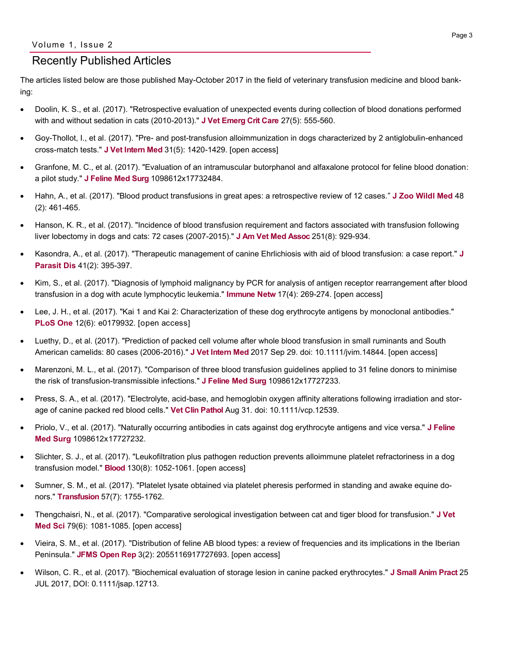## Recently Published Articles

The articles listed below are those published May-October 2017 in the field of veterinary transfusion medicine and blood banking:

- Doolin, K. S., et al. (2017). "Retrospective evaluation of unexpected events during collection of blood donations performed with and without sedation in cats (2010-2013)." **[J Vet Emerg Crit Care](http://onlinelibrary.wiley.com/doi/10.1111/vec.12643/abstract)** 27(5): 555-560.
- Goy-Thollot, I., et al. (2017). "Pre- and post-transfusion alloimmunization in dogs characterized by 2 antiglobulin-enhanced cross-match tests." **[J Vet Intern Med](http://onlinelibrary.wiley.com/doi/10.1111/jvim.14801/abstract)** 31(5): 1420-1429. [open access]
- Granfone, M. C., et al. (2017). "Evaluation of an intramuscular butorphanol and alfaxalone protocol for feline blood donation: a pilot study." **[J Feline Med Surg](http://journals.sagepub.com/doi/abs/10.1177/1098612X17732484?url_ver=Z39.88-2003&rfr_id=ori%3Arid%3Acrossref.org&rfr_dat=cr_pub%3Dpubmed&)** 1098612x17732484.
- Hahn, A., et al. (2017). "Blood product transfusions in great apes: a retrospective review of 12 cases." **[J Zoo Wildl Med](http://www.bioone.org/doi/10.1638/2016-0178R3.1?url_ver=Z39.88-2003&rfr_id=ori%3Arid%3Acrossref.org&rfr_dat=cr_pub%3Dpubmed&)** 48 (2): 461-465.
- Hanson, K. R., et al. (2017). "Incidence of blood transfusion requirement and factors associated with transfusion following liver lobectomy in dogs and cats: 72 cases (2007-2015)." **[J Am Vet Med Assoc](http://avmajournals.avma.org/doi/abs/10.2460/javma.251.8.929?url_ver=Z39.88-2003&rfr_id=ori:rid:crossref.org&rfr_dat=cr_pub%3dpubmed)** 251(8): 929-934.
- Kasondra, A., et al. (2017). "Therapeutic management of canine Ehrlichiosis with aid of blood transfusion: a case report." **[J](https://www.ncbi.nlm.nih.gov/pubmed/?term=Therapeutic+management+of+canine+Ehrlichiosis+with+aid+of+blood+transfusion%3A+a+case+report)  [Parasit Dis](https://www.ncbi.nlm.nih.gov/pubmed/?term=Therapeutic+management+of+canine+Ehrlichiosis+with+aid+of+blood+transfusion%3A+a+case+report)** 41(2): 395-397.
- Kim, S., et al. (2017). "Diagnosis of lymphoid malignancy by PCR for analysis of antigen receptor rearrangement after blood transfusion in a dog with acute lymphocytic leukemia." **[Immune Netw](https://www.ncbi.nlm.nih.gov/pmc/articles/PMC5577304/)** 17(4): 269-274. [open access]
- Lee, J. H., et al. (2017). "Kai 1 and Kai 2: Characterization of these dog erythrocyte antigens by monoclonal antibodies." **[PLoS One](https://www.ncbi.nlm.nih.gov/pmc/articles/PMC5491067/)** 12(6): e0179932. [open access]
- Luethy, D., et al. (2017). "Prediction of packed cell volume after whole blood transfusion in small ruminants and South American camelids: 80 cases (2006-2016)." **[J Vet Intern Med](http://onlinelibrary.wiley.com/doi/10.1111/jvim.14844/abstract)** 2017 Sep 29. doi: 10.1111/jvim.14844. [open access]
- Marenzoni, M. L., et al. (2017). "Comparison of three blood transfusion guidelines applied to 31 feline donors to minimise the risk of transfusion-transmissible infections." **[J Feline Med Surg](http://journals.sagepub.com/doi/abs/10.1177/1098612X17727233?url_ver=Z39.88-2003&rfr_id=ori:rid:crossref.org&rfr_dat=cr_pub%3dpubmed)** 1098612x17727233.
- Press, S. A., et al. (2017). "Electrolyte, acid-base, and hemoglobin oxygen affinity alterations following irradiation and storage of canine packed red blood cells." **[Vet Clin Pathol](http://onlinelibrary.wiley.com/doi/10.1111/vcp.12539/abstract)** Aug 31. doi: 10.1111/vcp.12539.
- Priolo, V., et al. (2017). "Naturally occurring antibodies in cats against dog erythrocyte antigens and vice versa." **[J Feline](http://journals.sagepub.com/doi/abs/10.1177/1098612X17727232?url_ver=Z39.88-2003&rfr_id=ori:rid:crossref.org&rfr_dat=cr_pub%3dpubmed)  [Med Surg](http://journals.sagepub.com/doi/abs/10.1177/1098612X17727232?url_ver=Z39.88-2003&rfr_id=ori:rid:crossref.org&rfr_dat=cr_pub%3dpubmed)** 1098612x17727232.
- Slichter, S. J., et al. (2017). "Leukofiltration plus pathogen reduction prevents alloimmune platelet refractoriness in a dog transfusion model." **[Blood](http://www.bloodjournal.org/content/130/8/1052.long?sso-checked=true)** 130(8): 1052-1061. [open access]
- Sumner, S. M., et al. (2017). "Platelet lysate obtained via platelet pheresis performed in standing and awake equine donors." **[Transfusion](http://onlinelibrary.wiley.com/doi/10.1111/trf.14124/abstract)** 57(7): 1755-1762.
- Thengchaisri, N., et al. (2017). "Comparative serological investigation between cat and tiger blood for transfusion." **[J Vet](https://www.ncbi.nlm.nih.gov/pmc/articles/PMC5487787/)  [Med Sci](https://www.ncbi.nlm.nih.gov/pmc/articles/PMC5487787/)** 79(6): 1081-1085. [open access]
- Vieira, S. M., et al. (2017). "Distribution of feline AB blood types: a review of frequencies and its implications in the Iberian Peninsula." **[JFMS Open Rep](https://www.ncbi.nlm.nih.gov/pmc/articles/PMC5613844/)** 3(2): 2055116917727693. [open access]
- Wilson, C. R., et al. (2017). "Biochemical evaluation of storage lesion in canine packed erythrocytes." **[J Small Anim Pract](http://onlinelibrary.wiley.com/doi/10.1111/jsap.12713/full)** 25 JUL 2017, DOI: 0.1111/jsap.12713.